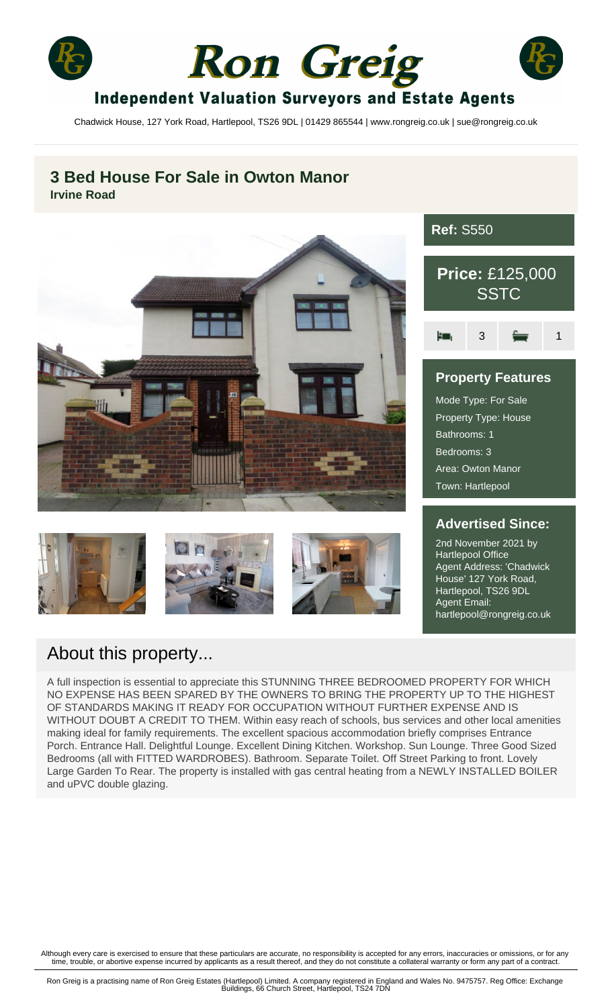





# **Independent Valuation Surveyors and Estate Agents**

Chadwick House, 127 York Road, Hartlepool, TS26 9DL | 01429 865544 | www.rongreig.co.uk | sue@rongreig.co.uk

# **3 Bed House For Sale in Owton Manor Irvine Road**









# **Ref:** S550



# **Property Features** Mode Type: For Sale Property Type: House Bathrooms: 1 Bedrooms: 3 Area: Owton Manor Town: Hartlepool

### **Advertised Since:**

2nd November 2021 by Hartlepool Office Agent Address: 'Chadwick House' 127 York Road, Hartlepool, TS26 9DL Agent Email: hartlepool@rongreig.co.uk

# About this property...

A full inspection is essential to appreciate this STUNNING THREE BEDROOMED PROPERTY FOR WHICH NO EXPENSE HAS BEEN SPARED BY THE OWNERS TO BRING THE PROPERTY UP TO THE HIGHEST OF STANDARDS MAKING IT READY FOR OCCUPATION WITHOUT FURTHER EXPENSE AND IS WITHOUT DOUBT A CREDIT TO THEM. Within easy reach of schools, bus services and other local amenities making ideal for family requirements. The excellent spacious accommodation briefly comprises Entrance Porch. Entrance Hall. Delightful Lounge. Excellent Dining Kitchen. Workshop. Sun Lounge. Three Good Sized Bedrooms (all with FITTED WARDROBES). Bathroom. Separate Toilet. Off Street Parking to front. Lovely Large Garden To Rear. The property is installed with gas central heating from a NEWLY INSTALLED BOILER and uPVC double glazing.

Although every care is exercised to ensure that these particulars are accurate, no responsibility is accepted for any errors, inaccuracies or omissions, or for any<br>time, trouble, or abortive expense incurred by applicants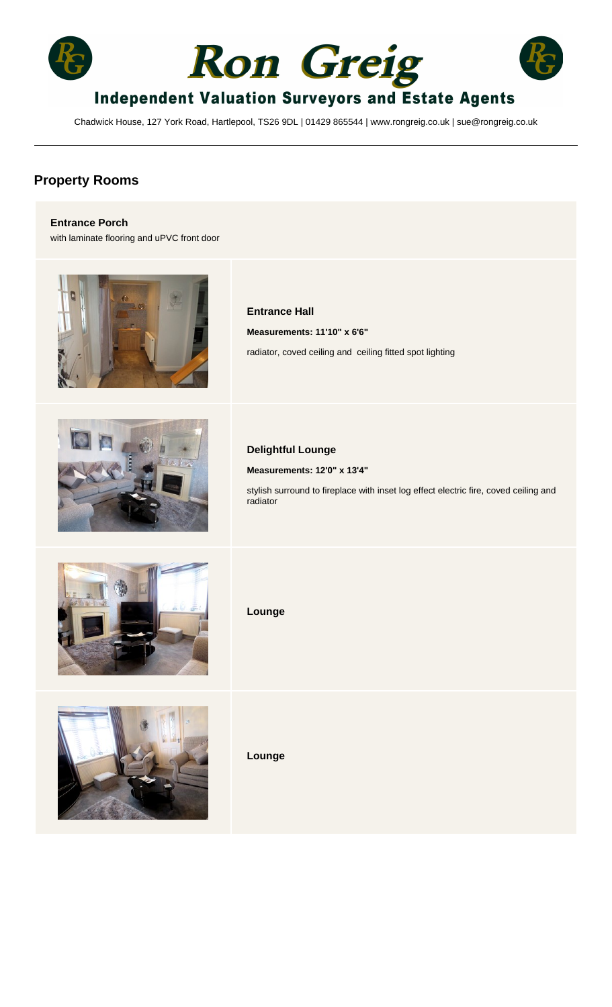





# **Independent Valuation Surveyors and Estate Agents**

Chadwick House, 127 York Road, Hartlepool, TS26 9DL | 01429 865544 | www.rongreig.co.uk | sue@rongreig.co.uk

## **Property Rooms**

#### **Entrance Porch**

with laminate flooring and uPVC front door



#### **Entrance Hall**

**Measurements: 11'10" x 6'6"** radiator, coved ceiling and ceiling fitted spot lighting



#### **Delightful Lounge**

**Measurements: 12'0" x 13'4"**

stylish surround to fireplace with inset log effect electric fire, coved ceiling and radiator



**Lounge**



**Lounge**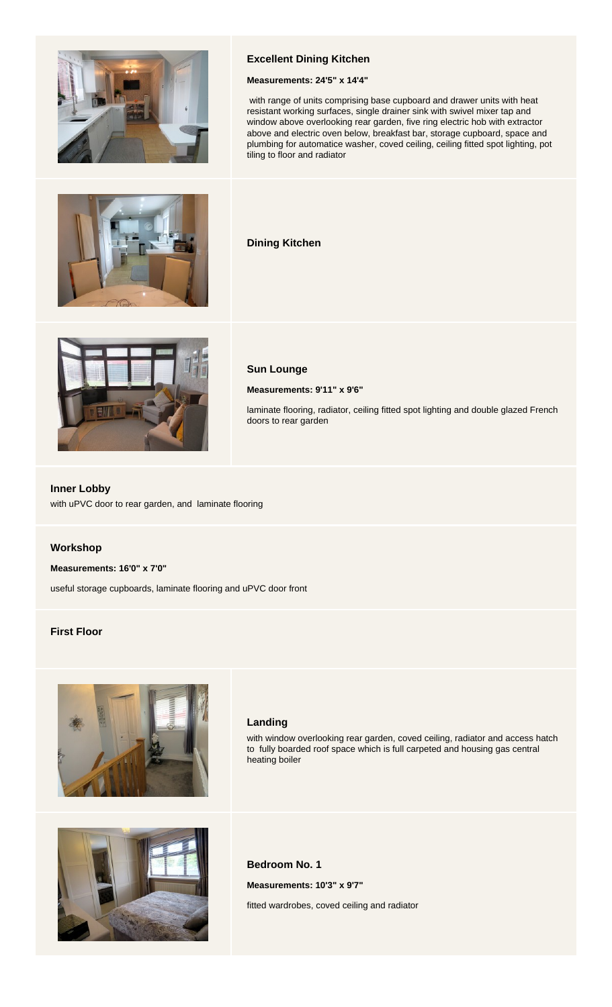

#### **Excellent Dining Kitchen**

#### **Measurements: 24'5" x 14'4"**

 with range of units comprising base cupboard and drawer units with heat resistant working surfaces, single drainer sink with swivel mixer tap and window above overlooking rear garden, five ring electric hob with extractor above and electric oven below, breakfast bar, storage cupboard, space and plumbing for automatice washer, coved ceiling, ceiling fitted spot lighting, pot tiling to floor and radiator



#### **Dining Kitchen**



#### **Sun Lounge**

**Measurements: 9'11" x 9'6"**

laminate flooring, radiator, ceiling fitted spot lighting and double glazed French doors to rear garden

#### **Inner Lobby**

with uPVC door to rear garden, and laminate flooring

#### **Workshop**

#### **Measurements: 16'0" x 7'0"**

useful storage cupboards, laminate flooring and uPVC door front

#### **First Floor**



#### **Landing**

with window overlooking rear garden, coved ceiling, radiator and access hatch to fully boarded roof space which is full carpeted and housing gas central heating boiler



#### **Bedroom No. 1**

**Measurements: 10'3" x 9'7"**

fitted wardrobes, coved ceiling and radiator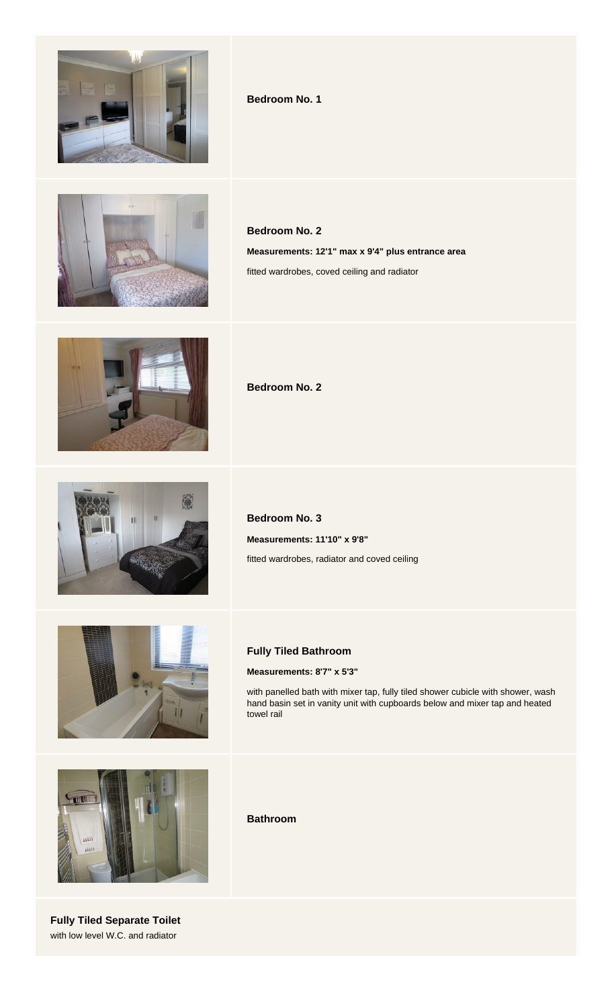

#### **Bedroom No. 1**



**Bedroom No. 2 Measurements: 12'1" max x 9'4" plus entrance area** fitted wardrobes, coved ceiling and radiator



**Bedroom No. 2**



**Bedroom No. 3 Measurements: 11'10" x 9'8"** fitted wardrobes, radiator and coved ceiling



#### **Fully Tiled Bathroom**

**Measurements: 8'7" x 5'3"**

with panelled bath with mixer tap, fully tiled shower cubicle with shower, wash hand basin set in vanity unit with cupboards below and mixer tap and heated towel rail



**Fully Tiled Separate Toilet** with low level W.C. and radiator

**Bathroom**